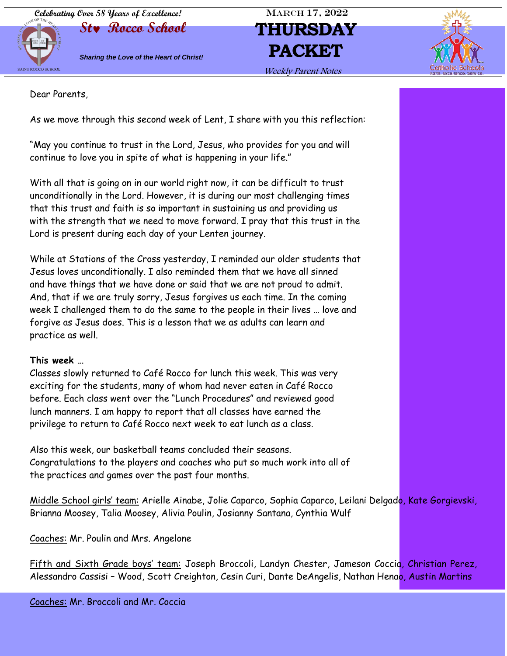**Celebrating Over 58 Years of Excellence!** MARCH 17, 2022



**St Rocco School THURSDAY Sharing the Love of the Heart of Christ! PACKET** 



Weekly Parent Notes

Dear Parents,

As we move through this second week of Lent, I share with you this reflection:

"May you continue to trust in the Lord, Jesus, who provides for you and will continue to love you in spite of what is happening in your life."

With all that is going on in our world right now, it can be difficult to trust unconditionally in the Lord. However, it is during our most challenging times that this trust and faith is so important in sustaining us and providing us with the strength that we need to move forward. I pray that this trust in the Lord is present during each day of your Lenten journey.

While at Stations of the Cross yesterday, I reminded our older students that Jesus loves unconditionally. I also reminded them that we have all sinned and have things that we have done or said that we are not proud to admit. And, that if we are truly sorry, Jesus forgives us each time. In the coming week I challenged them to do the same to the people in their lives … love and forgive as Jesus does. This is a lesson that we as adults can learn and practice as well.

### **This week …**

Classes slowly returned to Café Rocco for lunch this week. This was very exciting for the students, many of whom had never eaten in Café Rocco before. Each class went over the "Lunch Procedures" and reviewed good lunch manners. I am happy to report that all classes have earned the privilege to return to Café Rocco next week to eat lunch as a class.

Also this week, our basketball teams concluded their seasons. Congratulations to the players and coaches who put so much work into all of the practices and games over the past four months.

Middle School girls' team: Arielle Ainabe, Jolie Caparco, Sophia Caparco, Leilani Delgado, Kate Gorgievski, Brianna Moosey, Talia Moosey, Alivia Poulin, Josianny Santana, Cynthia Wulf

Coaches: Mr. Poulin and Mrs. Angelone

Fifth and Sixth Grade boys' team: Joseph Broccoli, Landyn Chester, Jameson Coccia, Christian Perez, Alessandro Cassisi – Wood, Scott Creighton, Cesin Curi, Dante DeAngelis, Nathan Henao, Austin Martins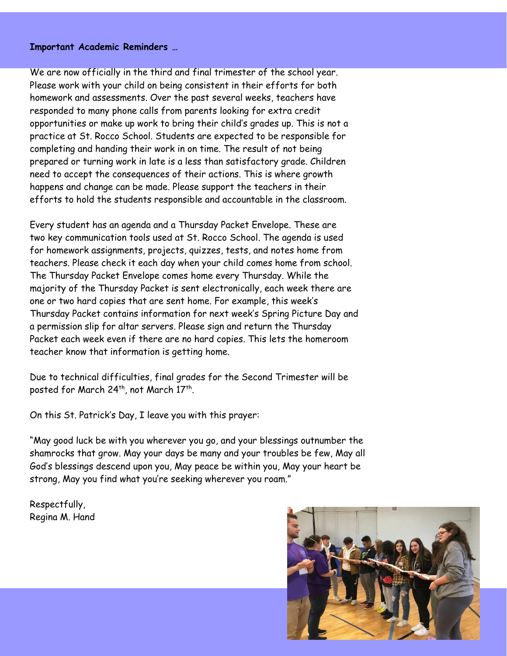#### **Important Academic Reminders …**

We are now officially in the third and final trimester of the school year. Please work with your child on being consistent in their efforts for both homework and assessments. Over the past several weeks, teachers have responded to many phone calls from parents looking for extra credit opportunities or make up work to bring their child's grades up. This is not a practice at St. Rocco School. Students are expected to be responsible for completing and handing their work in on time. The result of not being prepared or turning work in late is a less than satisfactory grade. Children need to accept the consequences of their actions. This is where growth happens and change can be made. Please support the teachers in their efforts to hold the students responsible and accountable in the classroom.

Every student has an agenda and a Thursday Packet Envelope. These are two key communication tools used at St. Rocco School. The agenda is used for homework assignments, projects, quizzes, tests, and notes home from teachers. Please check it each day when your child comes home from school. The Thursday Packet Envelope comes home every Thursday. While the majority of the Thursday Packet is sent electronically, each week there are one or two hard copies that are sent home. For example, this week's Thursday Packet contains information for next week's Spring Picture Day and a permission slip for altar servers. Please sign and return the Thursday Packet each week even if there are no hard copies. This lets the homeroom teacher know that information is getting home.

Due to technical difficulties, final grades for the Second Trimester will be posted for March 24<sup>th</sup>, not March 17<sup>th</sup>.

On this St. Patrick's Day, I leave you with this prayer:

l

"May good luck be with you wherever you go, and your blessings outnumber the shamrocks that grow. May your days be many and your troubles be few, May all God's blessings descend upon you, May peace be within you, May your heart be strong, May you find what you're seeking wherever you roam."

Respectfully, Regina M. Hand

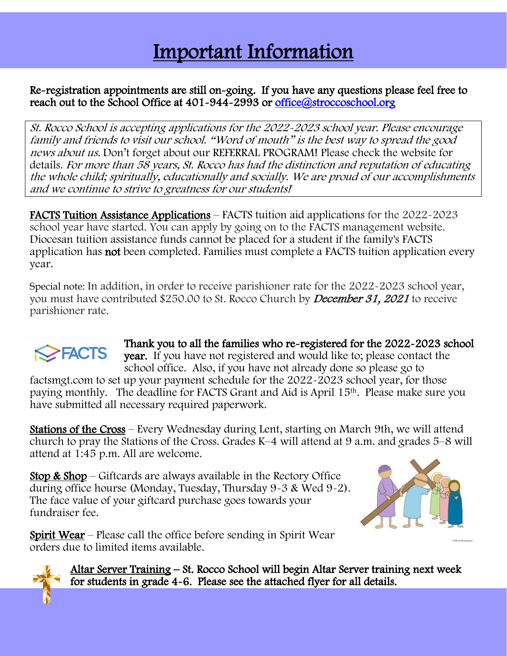## Important Information l

## Re-registration appointments are still on-going. If you have any questions please feel free to reach out to the School Office at 401-944-2993 or office@stroccoschool.org

St. Rocco School is accepting applications for the 2022-2023 school year. Please encourage family and friends to visit our school. "Word of mouth" is the best way to spread the good news about us. Don't forget about our REFERRAL PROGRAM! Please check the website for details. For more than 58 years, St. Rocco has had the distinction and reputation of educating the whole child; spiritually, educationally and socially. We are proud of our accomplishments and we continue to strive to greatness for our students!

FACTS Tuition Assistance Applications – FACTS tuition aid applications for the 2022-2023 school year have started. You can apply by going on to the FACTS management website. Diocesan tuition assistance funds cannot be placed for a student if the family's FACTS application has not been completed. Families must complete a FACTS tuition application every year.

Special note: In addition, in order to receive parishioner rate for the 2022-2023 school year, you must have contributed \$250.00 to St. Rocco Church by December 31, 2021 to receive parishioner rate.



ı

Thank you to all the families who re-registered for the 2022-2023 school year. If you have not registered and would like to; please contact the school office. Also, if you have not already done so please go to

factsmgt.com to set up your payment schedule for the 2022-2023 school year, for those paying monthly. The deadline for FACTS Grant and Aid is April 15th. Please make sure you have submitted all necessary required paperwork.

Stations of the Cross – Every Wednesday during Lent, starting on March 9th, we will attend church to pray the Stations of the Cross. Grades K–4 will attend at 9 a.m. and grades 5–8 will attend at 1:45 p.m. All are welcome.

Stop & Shop – Giftcards are always available in the Rectory Office during office hourse (Monday, Tuesday, Thursday 9-3 & Wed 9-2). The face value of your giftcard purchase goes towards your fundraiser fee.



Spirit Wear – Please call the office before sending in Spirit Wear orders due to limited items available.

> Altar Server Training – St. Rocco School will begin Altar Server training next week for students in grade 4-6. Please see the attached flyer for all details.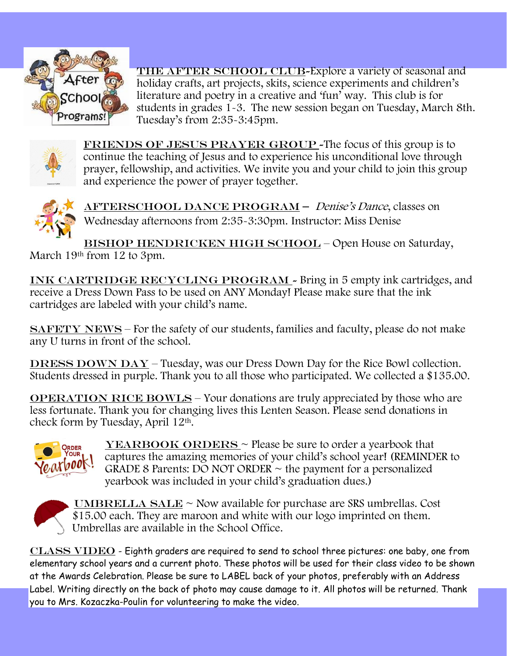

THE AFTER SCHOOL CLUB-Explore a variety of seasonal and holiday crafts, art projects, skits, science experiments and children's literature and poetry in a creative and 'fun' way. This club is for students in grades 1-3. The new session began on Tuesday, March 8th. Tuesday's from 2:35-3:45pm.



FRIENDS OF JESUS PRAYER GROUP - The focus of this group is to continue the teaching of Jesus and to experience his unconditional love through prayer, fellowship, and activities. We invite you and your child to join this group and experience the power of prayer together.



AFTERSCHOOL DANCE PROGRAM – Denise's Dance, classes on Wednesday afternoons from 2:35-3:30pm. Instructor: Miss Denise

BISHOP HENDRICKEN HIGH SCHOOL - Open House on Saturday, March 19th from 12 to 3pm.

INK CARTRIDGE RECYCLING PROGRAM - Bring in 5 empty ink cartridges, and receive a Dress Down Pass to be used on ANY Monday! Please make sure that the ink cartridges are labeled with your child's name.

SAFETY NEWS – For the safety of our students, families and faculty, please do not make any U turns in front of the school.

DRESS DOWN  $\overline{DAY}$  – Tuesday, was our Dress Down Day for the Rice Bowl collection. Students dressed in purple. Thank you to all those who participated. We collected a \$135.00.

OPERATION RICE BOWLS – Your donations are truly appreciated by those who are less fortunate. Thank you for changing lives this Lenten Season. Please send donations in check form by Tuesday, April 12th.



**YEARBOOK ORDERS**  $\sim$  Please be sure to order a yearbook that captures the amazing memories of your child's school year! (REMINDER to GRADE 8 Parents: DO NOT ORDER  $\sim$  the payment for a personalized yearbook was included in your child's graduation dues.)



UMBRELLA SALE  $\sim$  Now available for purchase are SRS umbrellas. Cost \$15.00 each. They are maroon and white with our logo imprinted on them. Umbrellas are available in the School Office.

 $CLASS VIDEO$  - Eighth graders are required to send to school three pictures: one baby, one from elementary school years and a current photo. These photos will be used for their class video to be shown at the Awards Celebration. Please be sure to LABEL back of your photos, preferably with an Address Label. Writing directly on the back of photo may cause damage to it. All photos will be returned. Thank you to Mrs. Kozaczka-Poulin for volunteering to make the video.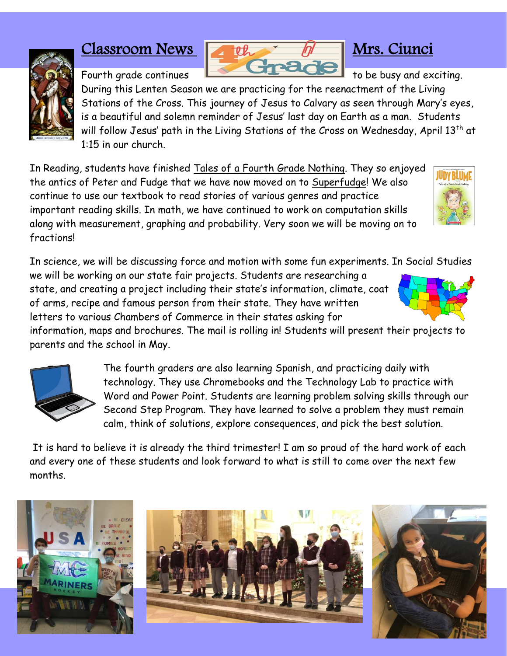## Classroom News that Mrs. Ciunci



During this Lenten Season we are practicing for the reenactment of the Living Stations of the Cross. This journey of Jesus to Calvary as seen through Mary's eyes, is a beautiful and solemn reminder of Jesus' last day on Earth as a man. Students will follow Jesus' path in the Living Stations of the Cross on Wednesday, April 13<sup>th</sup> at 1:15 in our church.

In Reading, students have finished Tales of a Fourth Grade Nothing. They so enjoyed the antics of Peter and Fudge that we have now moved on to Superfudge! We also continue to use our textbook to read stories of various genres and practice important reading skills. In math, we have continued to work on computation skills along with measurement, graphing and probability. Very soon we will be moving on to fractions!

In science, we will be discussing force and motion with some fun experiments. In Social Studies

we will be working on our state fair projects. Students are researching a state, and creating a project including their state's information, climate, coat of arms, recipe and famous person from their state. They have written letters to various Chambers of Commerce in their states asking for

information, maps and brochures. The mail is rolling in! Students will present their projects to parents and the school in May.



The fourth graders are also learning Spanish, and practicing daily with technology. They use Chromebooks and the Technology Lab to practice with Word and Power Point. Students are learning problem solving skills through our Second Step Program. They have learned to solve a problem they must remain calm, think of solutions, explore consequences, and pick the best solution.

It is hard to believe it is already the third trimester! I am so proud of the hard work of each and every one of these students and look forward to what is still to come over the next few months.









Fourth grade continues **the state of the busy and exciting.**